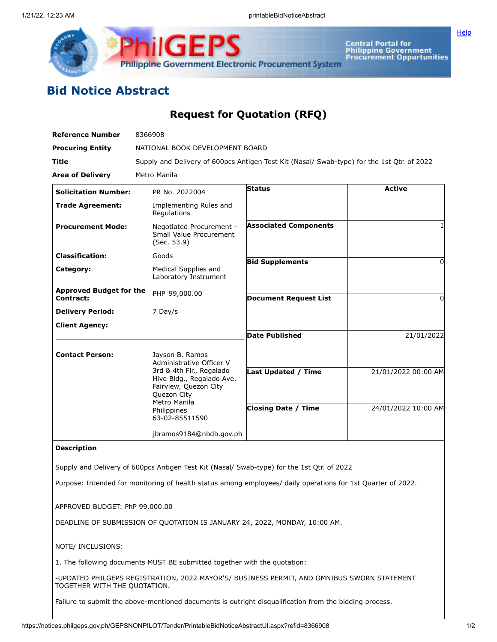

Central Portal for<br>Philippine Government<br>Procurement Oppurtunities

**[Help](javascript:void(window.open()** 

## **Bid Notice Abstract**

## **Request for Quotation (RFQ)**

| <b>Reference Number</b>                     | 8366908                                                                                                                                        |                                                                                                              |                     |
|---------------------------------------------|------------------------------------------------------------------------------------------------------------------------------------------------|--------------------------------------------------------------------------------------------------------------|---------------------|
| <b>Procuring Entity</b>                     | NATIONAL BOOK DEVELOPMENT BOARD                                                                                                                |                                                                                                              |                     |
| Title                                       | Supply and Delivery of 600pcs Antigen Test Kit (Nasal/ Swab-type) for the 1st Qtr. of 2022<br>Metro Manila                                     |                                                                                                              |                     |
| <b>Area of Delivery</b>                     |                                                                                                                                                |                                                                                                              |                     |
| <b>Solicitation Number:</b>                 | PR No. 2022004                                                                                                                                 | Status                                                                                                       | <b>Active</b>       |
| <b>Trade Agreement:</b>                     | Implementing Rules and<br>Regulations                                                                                                          |                                                                                                              |                     |
| <b>Procurement Mode:</b>                    | Negotiated Procurement -<br>Small Value Procurement<br>(Sec. 53.9)                                                                             | <b>Associated Components</b>                                                                                 |                     |
| <b>Classification:</b>                      | Goods                                                                                                                                          |                                                                                                              |                     |
| Category:                                   | Medical Supplies and<br>Laboratory Instrument                                                                                                  | <b>Bid Supplements</b>                                                                                       | $\Omega$            |
| <b>Approved Budget for the</b><br>Contract: | PHP 99,000.00                                                                                                                                  | <b>Document Request List</b>                                                                                 | 0                   |
| <b>Delivery Period:</b>                     | 7 Day/s                                                                                                                                        |                                                                                                              |                     |
| <b>Client Agency:</b>                       |                                                                                                                                                |                                                                                                              |                     |
|                                             |                                                                                                                                                | <b>Date Published</b>                                                                                        | 21/01/2022          |
| <b>Contact Person:</b>                      | Jayson B. Ramos<br>Administrative Officer V                                                                                                    |                                                                                                              |                     |
|                                             | 3rd & 4th Flr., Regalado<br>Hive Bldg., Regalado Ave.<br>Fairview, Quezon City<br>Quezon City<br>Metro Manila<br>Philippines<br>63-02-85511590 | <b>Last Updated / Time</b>                                                                                   | 21/01/2022 00:00 AM |
|                                             |                                                                                                                                                | <b>Closing Date / Time</b>                                                                                   | 24/01/2022 10:00 AM |
|                                             | jbramos9184@nbdb.gov.ph                                                                                                                        |                                                                                                              |                     |
| <b>Description</b>                          |                                                                                                                                                |                                                                                                              |                     |
|                                             |                                                                                                                                                | Supply and Delivery of 600pcs Antigen Test Kit (Nasal/ Swab-type) for the 1st Qtr. of 2022                   |                     |
|                                             |                                                                                                                                                | Purpose: Intended for monitoring of health status among employees/ daily operations for 1st Quarter of 2022. |                     |
| APPROVED BUDGET: PhP 99,000.00              |                                                                                                                                                |                                                                                                              |                     |
|                                             | DEADLINE OF SUBMISSION OF QUOTATION IS JANUARY 24, 2022, MONDAY, 10:00 AM.                                                                     |                                                                                                              |                     |

NOTE/ INCLUSIONS:

1. The following documents MUST BE submitted together with the quotation:

-UPDATED PHILGEPS REGISTRATION, 2022 MAYOR'S/ BUSINESS PERMIT, AND OMNIBUS SWORN STATEMENT TOGETHER WITH THE QUOTATION.

Failure to submit the above-mentioned documents is outright disqualification from the bidding process.